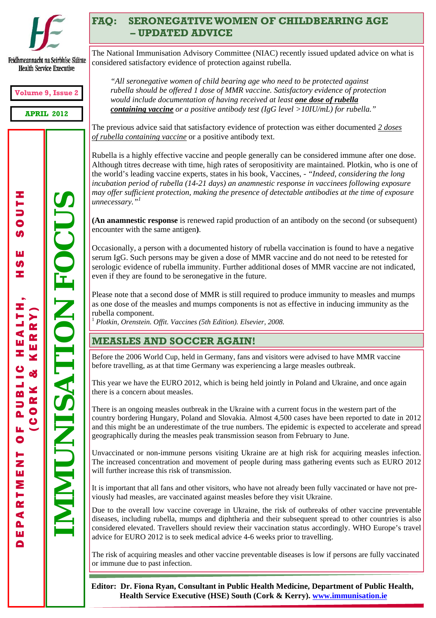

## **FAQ: SERONEGATIVE WOMEN OF CHILDBEARING AGE – UPDATED ADVICE**

Feidhmeannacht na Seirbhíse Sláinte **Health Service Executive** 

**Volume 9, Issue 2** 

**APRIL 2012** 

エーコロの

œ

PUBLIC

 $\frac{1}{\sigma}$ 

DEPARTMENT OF PUBLIC HEALTH, HSE SOUTH IMUNISATION FOCUS **IMMUNISATION FOCUS** ш  $\boldsymbol{\omega}$ (CORK & KERRY) HEALTH **KERRY** od<br>S **CORK** DEPARTMEN

*"All seronegative women of child bearing age who need to be protected against rubella should be offered 1 dose of MMR vaccine. Satisfactory evidence of protection would include documentation of having received at least one dose of rubella containing vaccine or a positive antibody test (IgG level >10IU/mL) for rubella."* 

The National Immunisation Advisory Committee (NIAC) recently issued updated advice on what is

The previous advice said that satisfactory evidence of protection was either documented *2 doses of rubella containing vaccine* or a positive antibody text.

Rubella is a highly effective vaccine and people generally can be considered immune after one dose. Although titres decrease with time, high rates of seropositivity are maintained. Plotkin, who is one of the world's leading vaccine experts, states in his book, Vaccines, - *"Indeed, considering the long incubation period of rubella (14-21 days) an anamnestic response in vaccinees following exposure may offer sufficient protection, making the presence of detectable antibodies at the time of exposure unnecessary."<sup>1</sup>*

**(An anamnestic response** is renewed rapid production of an antibody on the second (or subsequent) encounter with the same antigen**)**.

Occasionally, a person with a documented history of rubella vaccination is found to have a negative serum IgG. Such persons may be given a dose of MMR vaccine and do not need to be retested for serologic evidence of rubella immunity. Further additional doses of MMR vaccine are not indicated, even if they are found to be seronegative in the future.

Please note that a second dose of MMR is still required to produce immunity to measles and mumps as one dose of the measles and mumps components is not as effective in inducing immunity as the rubella component.

<sup>1</sup> *Plotkin, Orenstein. Offit. Vaccines (5th Edition). Elsevier, 2008*.

considered satisfactory evidence of protection against rubella.

### **MEASLES AND SOCCER AGAIN!**

Before the 2006 World Cup, held in Germany, fans and visitors were advised to have MMR vaccine before travelling, as at that time Germany was experiencing a large measles outbreak.

This year we have the EURO 2012, which is being held jointly in Poland and Ukraine, and once again there is a concern about measles.

There is an ongoing measles outbreak in the Ukraine with a current focus in the western part of the country bordering Hungary, Poland and Slovakia. Almost 4,500 cases have been reported to date in 2012 and this might be an underestimate of the true numbers. The epidemic is expected to accelerate and spread geographically during the measles peak transmission season from February to June.

Unvaccinated or non-immune persons visiting Ukraine are at high risk for acquiring measles infection. The increased concentration and movement of people during mass gathering events such as EURO 2012 will further increase this risk of transmission.

It is important that all fans and other visitors, who have not already been fully vaccinated or have not previously had measles, are vaccinated against measles before they visit Ukraine.

Due to the overall low vaccine coverage in Ukraine, the risk of outbreaks of other vaccine preventable diseases, including rubella, mumps and diphtheria and their subsequent spread to other countries is also considered elevated. Travellers should review their vaccination status accordingly. WHO Europe's travel advice for EURO 2012 is to seek medical advice 4-6 weeks prior to travelling.

The risk of acquiring measles and other vaccine preventable diseases is low if persons are fully vaccinated or immune due to past infection.

**Editor: Dr. Fiona Ryan, Consultant in Public Health Medicine, Department of Public Health, Health Service Executive (HSE) South (Cork & Kerry). www.immunisation.ie**